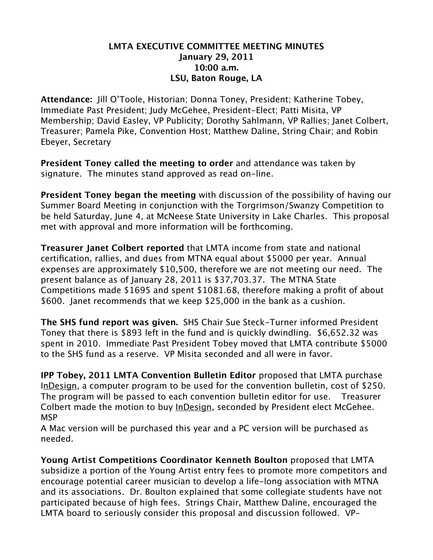## **LMTA EXECUTIVE COMMITTEE MEETING MINUTES January 29, 2011 10:00 a.m. LSU, Baton Rouge, LA**

**Attendance:** Jill O'Toole, Historian; Donna Toney, President; Katherine Tobey, Immediate Past President; Judy McGehee, President-Elect; Patti Misita, VP Membership; David Easley, VP Publicity; Dorothy Sahlmann, VP Rallies; Janet Colbert, Treasurer; Pamela Pike, Convention Host; Matthew Daline, String Chair; and Robin Ebeyer, Secretary

**President Toney called the meeting to order** and attendance was taken by signature. The minutes stand approved as read on-line.

**President Toney began the meeting** with discussion of the possibility of having our Summer Board Meeting in conjunction with the Torgrimson/Swanzy Competition to be held Saturday, June 4, at McNeese State University in Lake Charles. This proposal met with approval and more information will be forthcoming.

**Treasurer Janet Colbert reported** that LMTA income from state and national certification, rallies, and dues from MTNA equal about \$5000 per year. Annual expenses are approximately \$10,500, therefore we are not meeting our need. The present balance as of January 28, 2011 is \$37,703.37. The MTNA State Competitions made \$1695 and spent \$1081.68, therefore making a profit of about \$600. Janet recommends that we keep \$25,000 in the bank as a cushion.

**The SHS fund report was given.** SHS Chair Sue Steck-Turner informed President Toney that there is \$893 left in the fund and is quickly dwindling. \$6,652.32 was spent in 2010. Immediate Past President Tobey moved that LMTA contribute \$5000 to the SHS fund as a reserve. VP Misita seconded and all were in favor.

**IPP Tobey, 2011 LMTA Convention Bulletin Editor** proposed that LMTA purchase InDesign, a computer program to be used for the convention bulletin, cost of \$250. The program will be passed to each convention bulletin editor for use. Treasurer Colbert made the motion to buy InDesign, seconded by President elect McGehee. MSP

A Mac version will be purchased this year and a PC version will be purchased as needed.

**Young Artist Competitions Coordinator Kenneth Boulton** proposed that LMTA subsidize a portion of the Young Artist entry fees to promote more competitors and encourage potential career musician to develop a life-long association with MTNA and its associations. Dr. Boulton explained that some collegiate students have not participated because of high fees. Strings Chair, Matthew Daline, encouraged the LMTA board to seriously consider this proposal and discussion followed. VP-